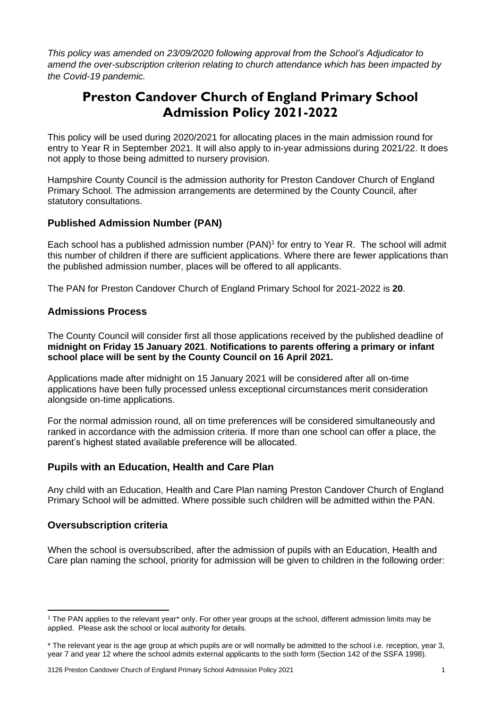*This policy was amended on 23/09/2020 following approval from the School's Adjudicator to amend the over-subscription criterion relating to church attendance which has been impacted by the Covid-19 pandemic.* 

# **Preston Candover Church of England Primary School Admission Policy 2021-2022**

This policy will be used during 2020/2021 for allocating places in the main admission round for entry to Year R in September 2021. It will also apply to in-year admissions during 2021/22. It does not apply to those being admitted to nursery provision.

Hampshire County Council is the admission authority for Preston Candover Church of England Primary School. The admission arrangements are determined by the County Council, after statutory consultations.

# **Published Admission Number (PAN)**

Each school has a published admission number (PAN)<sup>1</sup> for entry to Year R. The school will admit this number of children if there are sufficient applications. Where there are fewer applications than the published admission number, places will be offered to all applicants.

The PAN for Preston Candover Church of England Primary School for 2021-2022 is **20**.

# **Admissions Process**

The County Council will consider first all those applications received by the published deadline of **midnight on Friday 15 January 2021**. **Notifications to parents offering a primary or infant school place will be sent by the County Council on 16 April 2021.**

Applications made after midnight on 15 January 2021 will be considered after all on-time applications have been fully processed unless exceptional circumstances merit consideration alongside on-time applications.

For the normal admission round, all on time preferences will be considered simultaneously and ranked in accordance with the admission criteria. If more than one school can offer a place, the parent's highest stated available preference will be allocated.

# **Pupils with an Education, Health and Care Plan**

Any child with an Education, Health and Care Plan naming Preston Candover Church of England Primary School will be admitted. Where possible such children will be admitted within the PAN.

# **Oversubscription criteria**

When the school is oversubscribed, after the admission of pupils with an Education, Health and Care plan naming the school, priority for admission will be given to children in the following order:

<sup>&</sup>lt;sup>1</sup> The PAN applies to the relevant year<sup>\*</sup> only. For other year groups at the school, different admission limits may be applied. Please ask the school or local authority for details.

<sup>\*</sup> The relevant year is the age group at which pupils are or will normally be admitted to the school i.e. reception, year 3, year 7 and year 12 where the school admits external applicants to the sixth form (Section 142 of the SSFA 1998).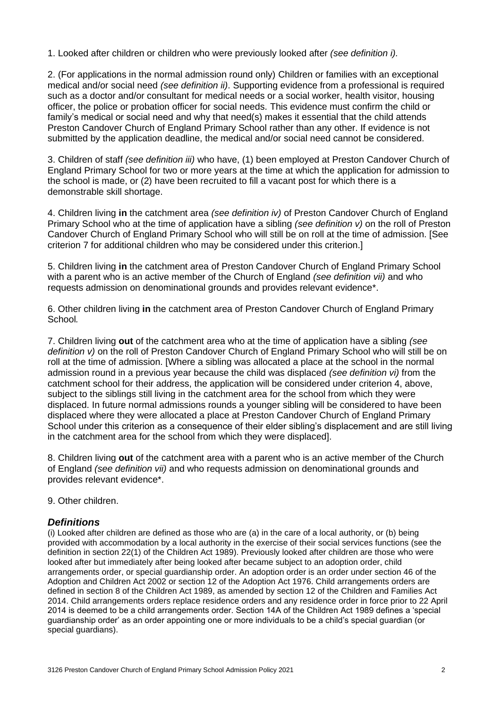1. Looked after children or children who were previously looked after *(see definition i).* 

2. (For applications in the normal admission round only) Children or families with an exceptional medical and/or social need *(see definition ii)*. Supporting evidence from a professional is required such as a doctor and/or consultant for medical needs or a social worker, health visitor, housing officer, the police or probation officer for social needs. This evidence must confirm the child or family's medical or social need and why that need(s) makes it essential that the child attends Preston Candover Church of England Primary School rather than any other. If evidence is not submitted by the application deadline, the medical and/or social need cannot be considered.

3. Children of staff *(see definition iii)* who have, (1) been employed at Preston Candover Church of England Primary School for two or more years at the time at which the application for admission to the school is made, or (2) have been recruited to fill a vacant post for which there is a demonstrable skill shortage.

4. Children living **in** the catchment area *(see definition iv)* of Preston Candover Church of England Primary School who at the time of application have a sibling *(see definition v)* on the roll of Preston Candover Church of England Primary School who will still be on roll at the time of admission. [See criterion 7 for additional children who may be considered under this criterion.]

5. Children living **in** the catchment area of Preston Candover Church of England Primary School with a parent who is an active member of the Church of England *(see definition vii)* and who requests admission on denominational grounds and provides relevant evidence\*.

6. Other children living **in** the catchment area of Preston Candover Church of England Primary School*.*

7. Children living **out** of the catchment area who at the time of application have a sibling *(see definition v)* on the roll of Preston Candover Church of England Primary School who will still be on roll at the time of admission. [Where a sibling was allocated a place at the school in the normal admission round in a previous year because the child was displaced *(see definition vi)* from the catchment school for their address, the application will be considered under criterion 4, above, subject to the siblings still living in the catchment area for the school from which they were displaced. In future normal admissions rounds a younger sibling will be considered to have been displaced where they were allocated a place at Preston Candover Church of England Primary School under this criterion as a consequence of their elder sibling's displacement and are still living in the catchment area for the school from which they were displaced].

8. Children living **out** of the catchment area with a parent who is an active member of the Church of England *(see definition vii)* and who requests admission on denominational grounds and provides relevant evidence\*.

9. Other children.

#### *Definitions*

(i) Looked after children are defined as those who are (a) in the care of a local authority, or (b) being provided with accommodation by a local authority in the exercise of their social services functions (see the definition in section 22(1) of the Children Act 1989). Previously looked after children are those who were looked after but immediately after being looked after became subject to an adoption order, child arrangements order, or special guardianship order. An adoption order is an order under section 46 of the Adoption and Children Act 2002 or section 12 of the Adoption Act 1976. Child arrangements orders are defined in section 8 of the Children Act 1989, as amended by section 12 of the Children and Families Act 2014. Child arrangements orders replace residence orders and any residence order in force prior to 22 April 2014 is deemed to be a child arrangements order. Section 14A of the Children Act 1989 defines a 'special guardianship order' as an order appointing one or more individuals to be a child's special guardian (or special guardians).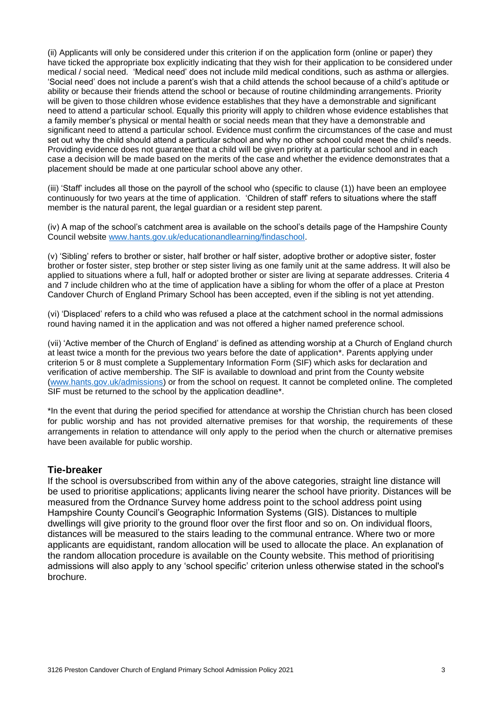(ii) Applicants will only be considered under this criterion if on the application form (online or paper) they have ticked the appropriate box explicitly indicating that they wish for their application to be considered under medical / social need. 'Medical need' does not include mild medical conditions, such as asthma or allergies. 'Social need' does not include a parent's wish that a child attends the school because of a child's aptitude or ability or because their friends attend the school or because of routine childminding arrangements. Priority will be given to those children whose evidence establishes that they have a demonstrable and significant need to attend a particular school. Equally this priority will apply to children whose evidence establishes that a family member's physical or mental health or social needs mean that they have a demonstrable and significant need to attend a particular school. Evidence must confirm the circumstances of the case and must set out why the child should attend a particular school and why no other school could meet the child's needs. Providing evidence does not guarantee that a child will be given priority at a particular school and in each case a decision will be made based on the merits of the case and whether the evidence demonstrates that a placement should be made at one particular school above any other.

(iii) 'Staff' includes all those on the payroll of the school who (specific to clause (1)) have been an employee continuously for two years at the time of application. 'Children of staff' refers to situations where the staff member is the natural parent, the legal guardian or a resident step parent.

(iv) A map of the school's catchment area is available on the school's details page of the Hampshire County Council website [www.hants.gov.uk/educationandlearning/findaschool.](http://www.hants.gov.uk/educationandlearning/findaschool)

(v) 'Sibling' refers to brother or sister, half brother or half sister, adoptive brother or adoptive sister, foster brother or foster sister, step brother or step sister living as one family unit at the same address. It will also be applied to situations where a full, half or adopted brother or sister are living at separate addresses. Criteria 4 and 7 include children who at the time of application have a sibling for whom the offer of a place at Preston Candover Church of England Primary School has been accepted, even if the sibling is not yet attending.

(vi) 'Displaced' refers to a child who was refused a place at the catchment school in the normal admissions round having named it in the application and was not offered a higher named preference school.

(vii) 'Active member of the Church of England' is defined as attending worship at a Church of England church at least twice a month for the previous two years before the date of application\*. Parents applying under criterion 5 or 8 must complete a Supplementary Information Form (SIF) which asks for declaration and verification of active membership. The SIF is available to download and print from the County website [\(www.hants.gov.uk/admissions\)](http://www.hants.gov.uk/admissions) or from the school on request. It cannot be completed online. The completed SIF must be returned to the school by the application deadline\*.

\*In the event that during the period specified for attendance at worship the Christian church has been closed for public worship and has not provided alternative premises for that worship, the requirements of these arrangements in relation to attendance will only apply to the period when the church or alternative premises have been available for public worship.

#### **Tie-breaker**

If the school is oversubscribed from within any of the above categories, straight line distance will be used to prioritise applications; applicants living nearer the school have priority. Distances will be measured from the Ordnance Survey home address point to the school address point using Hampshire County Council's Geographic Information Systems (GIS). Distances to multiple dwellings will give priority to the ground floor over the first floor and so on. On individual floors, distances will be measured to the stairs leading to the communal entrance. Where two or more applicants are equidistant, random allocation will be used to allocate the place. An explanation of the random allocation procedure is available on the County website. This method of prioritising admissions will also apply to any 'school specific' criterion unless otherwise stated in the school's brochure.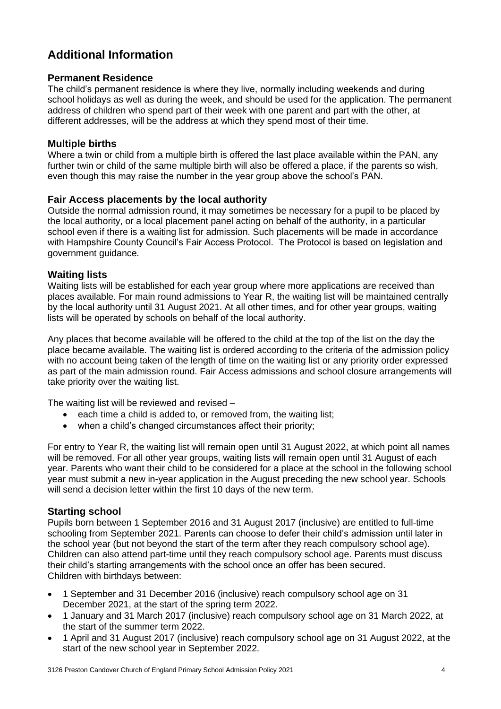# **Additional Information**

## **Permanent Residence**

The child's permanent residence is where they live, normally including weekends and during school holidays as well as during the week, and should be used for the application. The permanent address of children who spend part of their week with one parent and part with the other, at different addresses, will be the address at which they spend most of their time.

## **Multiple births**

Where a twin or child from a multiple birth is offered the last place available within the PAN, any further twin or child of the same multiple birth will also be offered a place, if the parents so wish, even though this may raise the number in the year group above the school's PAN.

## **Fair Access placements by the local authority**

Outside the normal admission round, it may sometimes be necessary for a pupil to be placed by the local authority, or a local placement panel acting on behalf of the authority, in a particular school even if there is a waiting list for admission. Such placements will be made in accordance with Hampshire County Council's Fair Access Protocol. The Protocol is based on legislation and government guidance.

## **Waiting lists**

Waiting lists will be established for each year group where more applications are received than places available. For main round admissions to Year R, the waiting list will be maintained centrally by the local authority until 31 August 2021. At all other times, and for other year groups, waiting lists will be operated by schools on behalf of the local authority.

Any places that become available will be offered to the child at the top of the list on the day the place became available. The waiting list is ordered according to the criteria of the admission policy with no account being taken of the length of time on the waiting list or any priority order expressed as part of the main admission round. Fair Access admissions and school closure arrangements will take priority over the waiting list.

The waiting list will be reviewed and revised –

- each time a child is added to, or removed from, the waiting list;
- when a child's changed circumstances affect their priority;

For entry to Year R, the waiting list will remain open until 31 August 2022, at which point all names will be removed. For all other year groups, waiting lists will remain open until 31 August of each year. Parents who want their child to be considered for a place at the school in the following school year must submit a new in-year application in the August preceding the new school year. Schools will send a decision letter within the first 10 days of the new term.

# **Starting school**

Pupils born between 1 September 2016 and 31 August 2017 (inclusive) are entitled to full-time schooling from September 2021. Parents can choose to defer their child's admission until later in the school year (but not beyond the start of the term after they reach compulsory school age). Children can also attend part-time until they reach compulsory school age. Parents must discuss their child's starting arrangements with the school once an offer has been secured. Children with birthdays between:

- 1 September and 31 December 2016 (inclusive) reach compulsory school age on 31 December 2021, at the start of the spring term 2022.
- 1 January and 31 March 2017 (inclusive) reach compulsory school age on 31 March 2022, at the start of the summer term 2022.
- 1 April and 31 August 2017 (inclusive) reach compulsory school age on 31 August 2022, at the start of the new school year in September 2022.